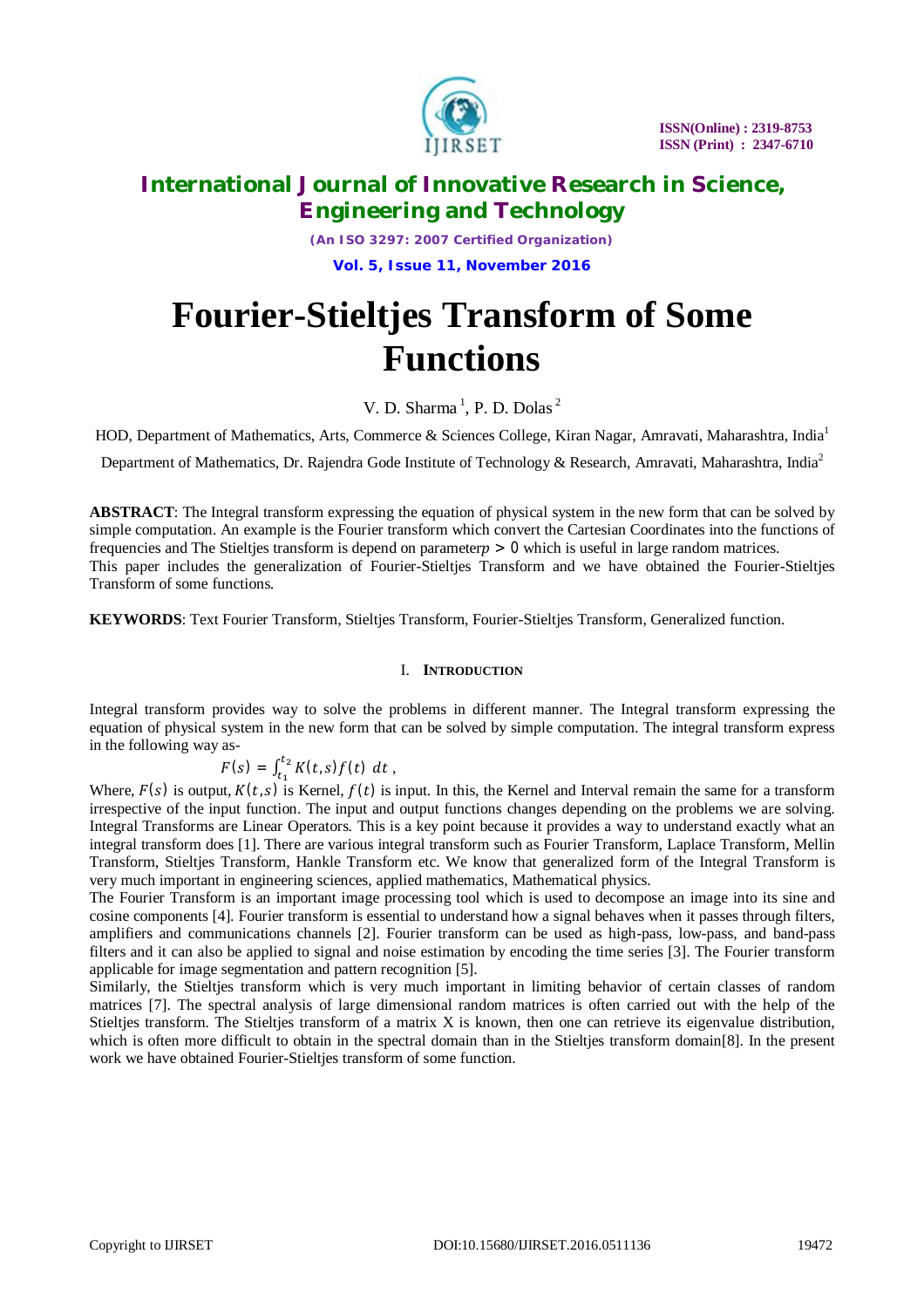

*(An ISO 3297: 2007 Certified Organization)*

**Vol. 5, Issue 11, November 2016**

# **Fourier-Stieltjes Transform of Some Functions**

V. D. Sharma<sup>1</sup>, P. D. Dolas<sup>2</sup>

HOD, Department of Mathematics, Arts, Commerce & Sciences College, Kiran Nagar, Amravati, Maharashtra, India<sup>1</sup>

Department of Mathematics, Dr. Rajendra Gode Institute of Technology & Research, Amravati, Maharashtra, India<sup>2</sup>

**ABSTRACT**: The Integral transform expressing the equation of physical system in the new form that can be solved by simple computation. An example is the Fourier transform which convert the Cartesian Coordinates into the functions of frequencies and The Stieltjes transform is depend on parameter  $p > 0$  which is useful in large random matrices. This paper includes the generalization of Fourier-Stieltjes Transform and we have obtained the Fourier-Stieltjes Transform of some functions.

**KEYWORDS**: Text Fourier Transform, Stieltjes Transform, Fourier-Stieltjes Transform, Generalized function.

## I. **INTRODUCTION**

Integral transform provides way to solve the problems in different manner. The Integral transform expressing the equation of physical system in the new form that can be solved by simple computation. The integral transform express in the following way as-

$$
F(s) = \int_{t_1}^{t_2} K(t,s) f(t) \, dt \, ,
$$

Where,  $F(s)$  is output,  $K(t, s)$  is Kernel,  $f(t)$  is input. In this, the Kernel and Interval remain the same for a transform irrespective of the input function. The input and output functions changes depending on the problems we are solving. Integral Transforms are Linear Operators. This is a key point because it provides a way to understand exactly what an integral transform does [1]. There are various integral transform such as Fourier Transform, Laplace Transform, Mellin Transform, Stieltjes Transform, Hankle Transform etc. We know that generalized form of the Integral Transform is very much important in engineering sciences, applied mathematics, Mathematical physics.

The Fourier Transform is an important image processing tool which is used to decompose an image into its sine and cosine components [4]. Fourier transform is essential to understand how a signal behaves when it passes through filters, amplifiers and communications channels [2]. Fourier transform can be used as high-pass, low-pass, and band-pass filters and it can also be applied to signal and noise estimation by encoding the time series [3]. The Fourier transform applicable for image segmentation and pattern recognition [5].

Similarly, the Stieltjes transform which is very much important in limiting behavior of certain classes of random matrices [7]. The spectral analysis of large dimensional random matrices is often carried out with the help of the Stieltjes transform. The Stieltjes transform of a matrix X is known, then one can retrieve its eigenvalue distribution, which is often more difficult to obtain in the spectral domain than in the Stieltjes transform domain[8]. In the present work we have obtained Fourier-Stieltjes transform of some function.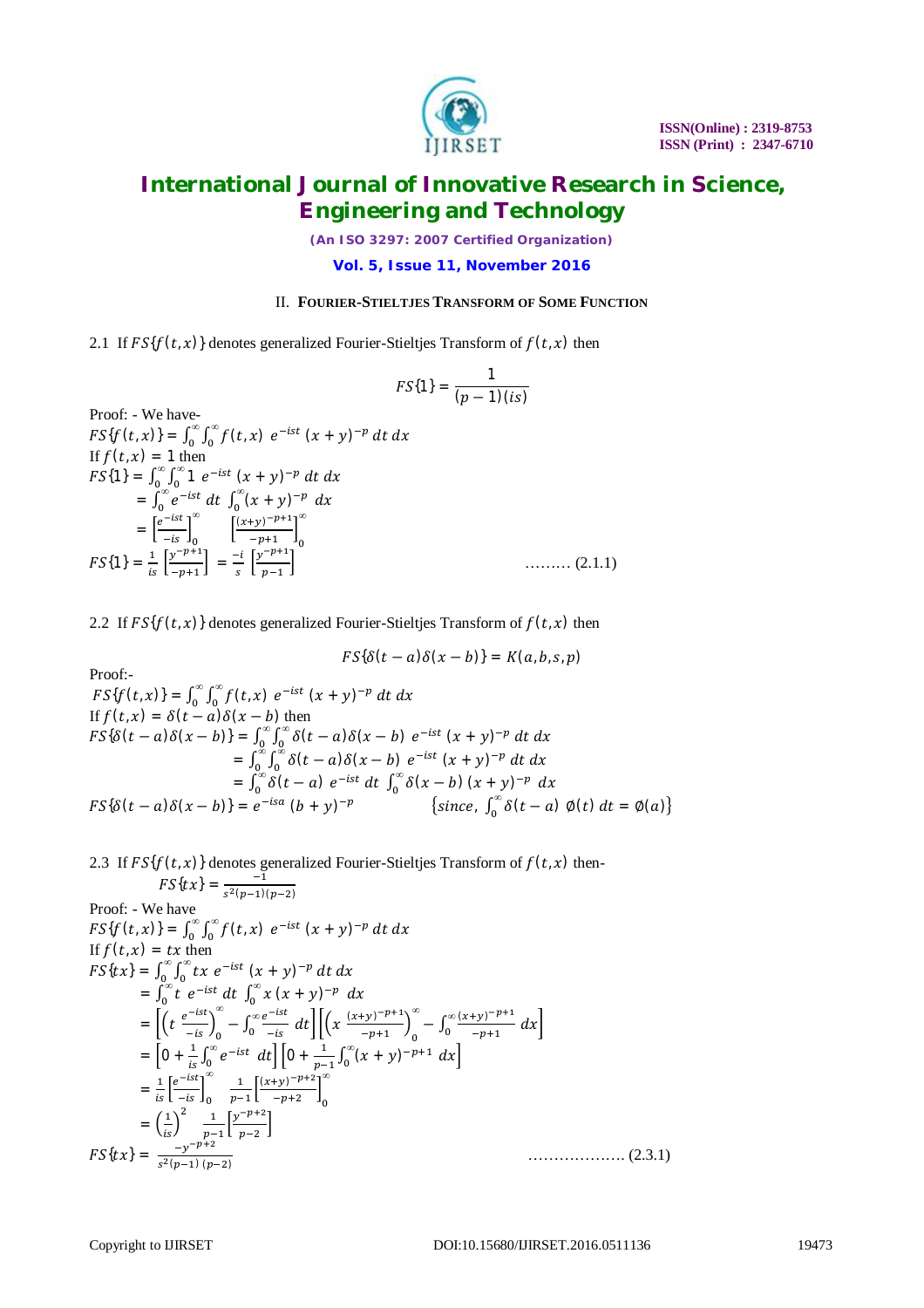

*(An ISO 3297: 2007 Certified Organization)*

## **Vol. 5, Issue 11, November 2016**

## II. **FOURIER-STIELTJES TRANSFORM OF SOME FUNCTION**

2.1 If  $FS{f(t, x)}$  denotes generalized Fourier-Stieltjes Transform of  $f(t, x)$  then

$$
FS{1}=\frac{1}{(p-1)(is)}
$$

Proof: - We have-<br> $FS{f(t, x)} = \int_0^\infty \int_0^\infty f(t, x)$ Proof: - We have- $\bf{0}$ *∞*  $\int_0^\infty \int_0^\infty f(t,x) e^{-ist} (x+y)^{-p} dt dx$ If  $f(t, x) = 1$  then  $FS\{1\} = \int_0^\infty \int_0^\infty 1$  $\bf{0}$ *∞*  $\int_0^\infty \int_0^\infty 1 e^{-ist} (x + y)^{-p} dt dx$  $=\int_0^{\infty} e^{-ist} dt \int_0^{\infty} (x + y)^{-p} dx$  $\int_{0}^{\infty} (x + y)^{-p} dx$  $=\left[\frac{e^{-ist}}{-is}\right]_0^{\infty}$ *∞*  $\frac{(x+y)^{-p+1}}{x+1}$  $\left[\frac{-p+1}{p+1}\right]_0$ *∞*  $FS\{1\} = \frac{1}{is} \left[ \frac{y^{-p+1}}{-p+1} \right]$  $\left[\frac{y^{-p+1}}{-p+1}\right] = \frac{-i}{s}$  $\frac{-i}{s}$   $\left[\frac{y^{-p+1}}{p-1}\right]$  $p-1$  $\ldots$  (2.1.1)

2.2 If  $FS{f(t, x)}$  denotes generalized Fourier-Stieltjes Transform of  $f(t, x)$  then

Proof:  
\n
$$
FS{\delta(t-a)\delta(x-b)} = K(a,b,s,p)
$$
\n
$$
FS{f(t,x)} = \int_0^\infty \int_0^\infty f(t,x) e^{-ist} (x+y)^{-p} dt dx
$$
\nIf  $f(t,x) = \delta(t-a)\delta(x-b)$  then\n
$$
FS{\delta(t-a)\delta(x-b)} = \int_0^\infty \int_0^\infty \delta(t-a)\delta(x-b) e^{-ist} (x+y)^{-p} dt dx
$$
\n
$$
= \int_0^\infty \int_0^\infty \delta(t-a)\delta(x-b) e^{-ist} (x+y)^{-p} dt dx
$$
\n
$$
= \int_0^\infty \delta(t-a) e^{-ist} dt \int_0^\infty \delta(x-b) (x+y)^{-p} dx
$$
\n
$$
FS{\delta(t-a)\delta(x-b)} = e^{-isa} (b+y)^{-p} \qquad {since, \int_0^\infty \delta(t-a) \phi(t) dt = \phi(a)}
$$

2.3 If 
$$
FS{f(t, x)}
$$
 denotes generalized Fourier-Stieltjes Transform of  $f(t, x)$  then  
\n $FS{tx} = \frac{-1}{s^2(p-1)(p-2)}$   
\nProof: - We have  
\n $FS{f(t, x)} = \int_0^{\infty} \int_0^{\infty} f(t, x) e^{-ist} (x + y)^{-p} dt dx$   
\nIf  $f(t, x) = tx$  then  
\n $FS{tx} = \int_0^{\infty} \int_0^{\infty} tx e^{-ist} (x + y)^{-p} dt dx$   
\n $= \int_0^{\infty} t e^{-ist} dt \int_0^{\infty} x (x + y)^{-p} dx$   
\n $= \left[ \left( t \frac{e^{-ist}}{-is} \right)_0^{\infty} - \int_0^{\infty} \frac{e^{-ist}}{-is} dt \right] \left[ \left( x \frac{(x+y)^{-p+1}}{-p+1} \right)_0^{\infty} - \int_0^{\infty} \frac{(x+y)^{-p+1}}{-p+1} dx \right]$   
\n $= \left[ 0 + \frac{1}{is} \int_0^{\infty} e^{-ist} dt \right] \left[ 0 + \frac{1}{p-1} \int_0^{\infty} (x + y)^{-p+1} dx \right]$   
\n $= \frac{1}{is} \left[ \frac{e^{-ist}}{-is} \right]_0^{\infty} - \frac{1}{p-1} \left[ \frac{(x+y)^{-p+2}}{-p+2} \right]_0^{\infty}$   
\n $= \left( \frac{1}{is} \right)^2 - \frac{1}{p-1} \left[ \frac{y^{-p+2}}{p-2} \right]$   
\n $FS{tx} = \frac{-y^{-p+2}}{s^2(p-1)(p-2)}$ ........(2.3.1)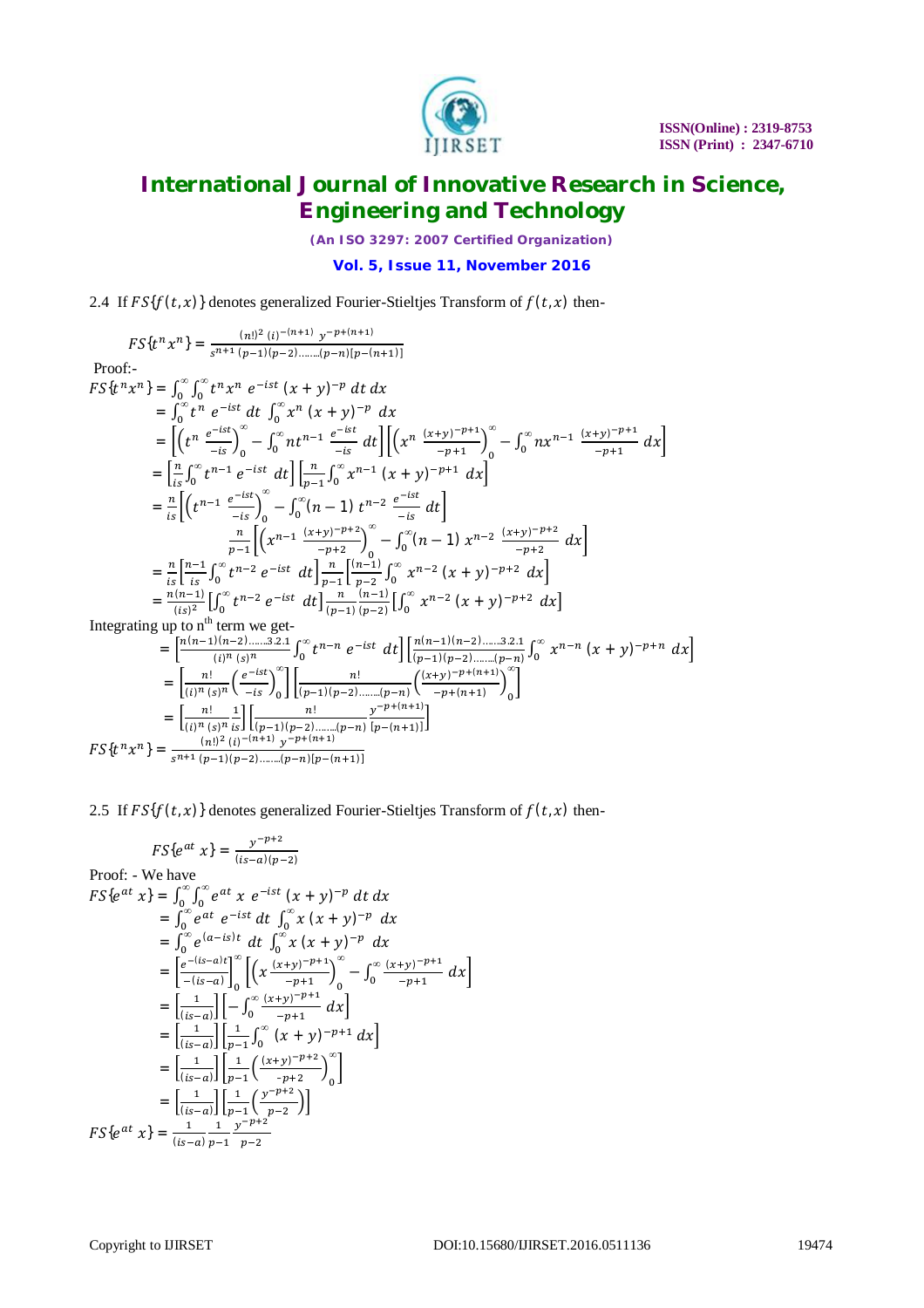

*(An ISO 3297: 2007 Certified Organization)*

## **Vol. 5, Issue 11, November 2016**

2.4 If  $FS{f(t, x)}$  denotes generalized Fourier-Stieltjes Transform of  $f(t, x)$  then-

$$
FS\{t^n x^n\} = \frac{(n!)^2 (i)^{-(n+1)} y^{-p+(n+1)}}{s^{n+1} (p-1)(p-2)\dots (p-n)[p-(n+1)]}
$$
  
\nProof:  
\n
$$
FS\{t^n x^n\} = \int_0^\infty \int_0^\infty t^n x^n e^{-ist} (x + y)^{-p} dt dx
$$
  
\n
$$
= \int_0^\infty t^n e^{-ist} dt \int_0^\infty x^n (x + y)^{-p} dx
$$
  
\n
$$
= \left[\frac{t^n e^{-ist}}{-is}\right]_0^\infty - \int_0^\infty nt^{n-1} e^{-ist} dt \right] \left[\left(x^n \frac{(x+y)^{-p+1}}{-p+1}\right]_0^\infty - \int_0^\infty nx^{n-1} \frac{(x+y)^{-p+1}}{-p+1} dx\right]
$$
  
\n
$$
= \left[\frac{n}{is} \int_0^\infty t^{n-1} e^{-ist} dt \right] \left[\frac{n}{p-1} \int_0^\infty x^{n-1} (x + y)^{-p+1} dx\right]
$$
  
\n
$$
= \frac{n}{is} \left[\left(t^{n-1} \frac{e^{-ist}}{-is}\right)_{0}^\infty - \int_0^\infty (n-1) t^{n-2} \frac{e^{-ist}}{-is} dt\right]
$$
  
\n
$$
= \frac{n}{is} \left[\frac{n-1}{is} \int_0^\infty t^{n-2} e^{-ist} dt \right] \frac{n}{p-1} \left[\frac{(n-1)}{p-2} \int_0^\infty x^{n-2} (x + y)^{-p+2} dx\right]
$$
  
\n
$$
= \frac{n(n-1)}{is} \left[\int_0^\infty t^{n-2} e^{-ist} dt \right] \frac{n}{p-1} \left[\frac{(n-1)}{p-2} \int_0^\infty x^{n-2} (x + y)^{-p+2} dx\right]
$$
  
\nIntegrating up to n<sup>th</sup> term we get-  
\n
$$
= \left[\frac{n(n-1)(n-2)\dots 3.2.1}{(i)^n (s)^n} \int_0^\infty t^{n-n} e^{-ist} dt \right] \frac{n(n-1)(n-2)\dots 3.2.1}{(p-1)(p-2)\dots (p-n)} \int_0^\infty x^{n
$$

2.5 If  $FS{f(t, x)}$  denotes generalized Fourier-Stieltjes Transform of  $f(t, x)$  then-

$$
FS\{e^{at} x\} = \frac{y^{-p+2}}{(is-a)(p-2)}
$$
  
Proof: - We have  

$$
FS\{e^{at} x\} = \int_0^\infty \int_0^\infty e^{at} x e^{-ist} (x + y)^{-p} dt dx
$$

$$
= \int_0^\infty e^{at} e^{-ist} dt \int_0^\infty x (x + y)^{-p} dx
$$

$$
= \int_0^\infty e^{(a-is)t} dt \int_0^\infty x (x + y)^{-p} dx
$$

$$
= \left[\frac{e^{-(is-a)t}}{-(is-a)}\right]_0^\infty \left[\left(x \frac{(x+y)^{-p+1}}{-p+1}\right)_0^\infty - \int_0^\infty \frac{(x+y)^{-p+1}}{-p+1} dx\right]
$$

$$
= \left[\frac{1}{(is-a)}\right] \left[-\int_0^\infty \frac{(x+y)^{-p+1}}{-p+1} dx\right]
$$

$$
= \left[\frac{1}{(is-a)}\right] \left[\frac{1}{p-1} \int_0^\infty (x + y)^{-p+2} dx\right]
$$

$$
= \left[\frac{1}{(is-a)}\right] \left[\frac{1}{p-1} \left(\frac{(x+y)^{-p+2}}{-p+2}\right)_0^\infty\right]
$$

$$
= \left[\frac{1}{(is-a)}\right] \left[\frac{1}{p-1} \left(\frac{y^{-p+2}}{-p+2}\right)\right]
$$

$$
FS\{e^{at} x\} = \frac{1}{(is-a)} \frac{1}{p-1} \frac{y^{-p+2}}{p-2}
$$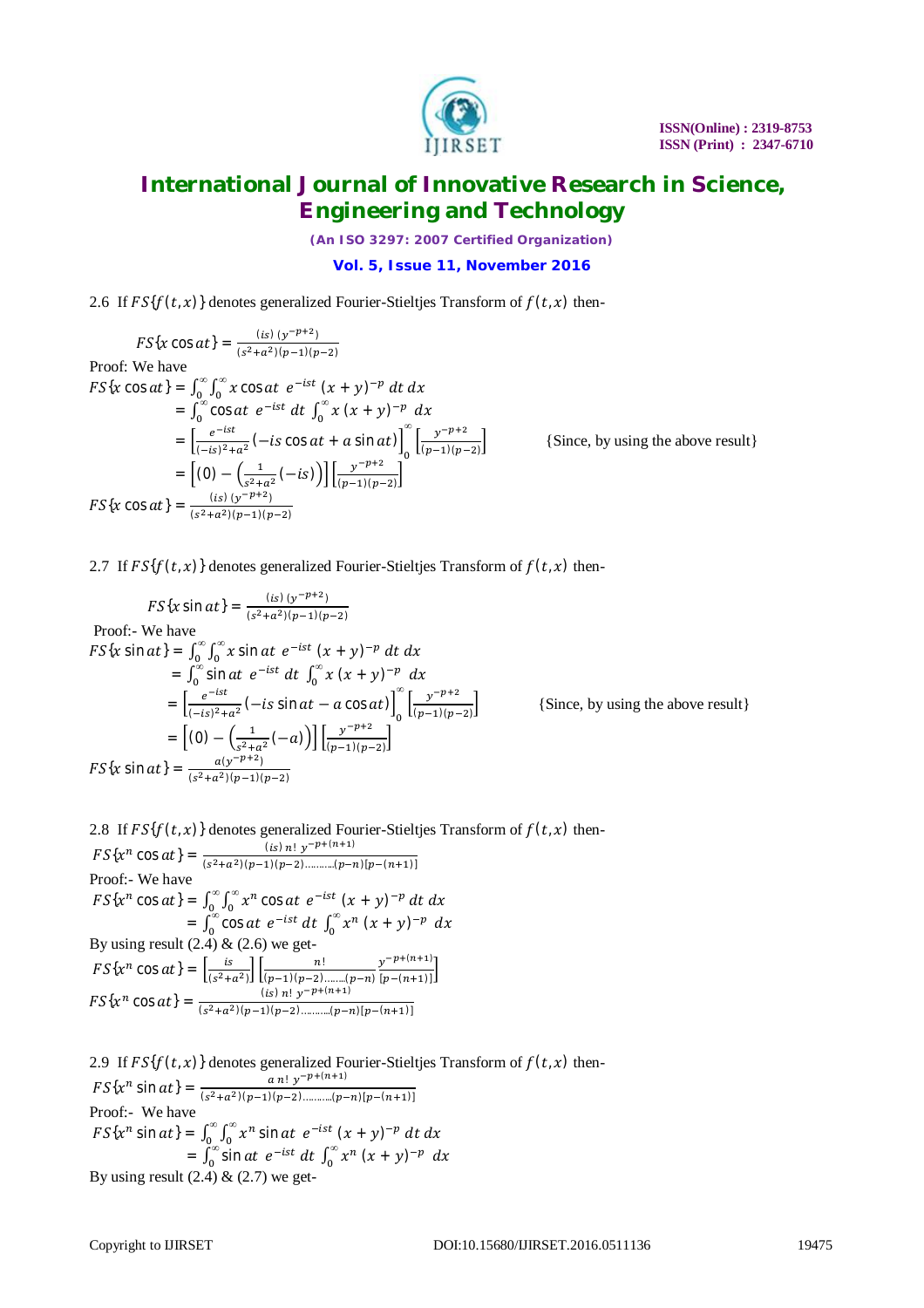

*(An ISO 3297: 2007 Certified Organization)*

## **Vol. 5, Issue 11, November 2016**

2.6 If  $FS{f(t, x)}$  denotes generalized Fourier-Stieltjes Transform of  $f(t, x)$  then-

$$
FS\{x \cos at\} = \frac{(\text{is}) (y^{-p+2})}{(s^2 + a^2)(p-1)(p-2)}
$$
  
Proof: We have  

$$
FS\{x \cos at\} = \int_0^\infty \int_0^\infty x \cos at \ e^{-ist} (x + y)^{-p} dt dx
$$

$$
= \int_0^\infty \cos at \ e^{-ist} dt \int_0^\infty x (x + y)^{-p} dx
$$

$$
= \left[ \frac{e^{-ist}}{(-is)^2 + a^2} (-is \cos at + a \sin at) \right]_0^\infty \left[ \frac{y^{-p+2}}{(p-1)(p-2)} \right]
$$

$$
= \left[ (0) - \left( \frac{1}{s^2 + a^2} (-is) \right) \right] \left[ \frac{y^{-p+2}}{(p-1)(p-2)} \right]
$$

$$
FS\{x \cos at\} = \frac{(\text{is}) (y^{-p+2})}{(s^2 + a^2)(p-1)(p-2)}
$$

{Since, by using the above result}

2.7 If  $FS{f(t,x)}$  denotes generalized Fourier-Stieltjes Transform of  $f(t,x)$  then-

$$
FS\{x \sin at\} = \frac{(is) (y^{-p+2})}{(s^2 + a^2)(p-1)(p-2)}
$$
  
Proof:- We have  

$$
FS\{x \sin at\} = \int_0^\infty \int_0^\infty x \sin at \ e^{-ist} (x+y)^{-p} dt dx
$$

$$
= \int_0^\infty \sin at \ e^{-ist} dt \int_0^\infty x (x+y)^{-p} dx
$$

$$
= \left[ \frac{e^{-ist}}{(-is)^2 + a^2} (-is \sin at - a \cos at) \right]_0^\infty \left[ \frac{y^{-p+2}}{[p-1)(p-2]} \right]
$$

$$
= \left[ (0) - \left( \frac{1}{s^2 + a^2} (-a) \right) \right] \left[ \frac{y^{-p+2}}{(p-1)(p-2)} \right]
$$

$$
FS\{x \sin at\} = \frac{a(y^{-p+2})}{(s^2 + a^2)(p-1)(p-2)}
$$

{Since, by using the above result}

2.8 If  $FS{f(t, x)}$  denotes generalized Fourier-Stieltjes Transform of  $f(t, x)$  then-

 $FS{x^n \cos at} = \frac{(is) n! y^{-p+(n+1)}}{(e^{2}+z^2)(n-1)(n-2)}$  $(s^2+a^2)(p-1)(p-2)$ ..........(p-n)[p-(n+1)] Proof:- We have  $FS\{x^n\cos at\} = \int_0^\infty \int_0^\infty x^n\cos at$  $\bf{0}$ *∞*  $\int_0^\infty \int_0^\infty x^n \cos at \ e^{-ist} \ (x+y)^{-p} \ dt \ dx$  $=\int_0^\infty \cos at$  $\int_0^\infty \cos at \ e^{-ist} \ dt \ \int_0^\infty x^n \ (x+y)^{-p} \ dx$ By using result  $(2.4)$  &  $(2.6)$  we get- $FS\{x^n\cos at\} = \left[\frac{is}{\sqrt{2}}\right]$  $\frac{is}{(s^2+a^2)}\left[\frac{n!}{(p-1)(p-2)}\right]$  $(p-1)(p-2)$ …….. $(p-n)$  $y^{-p+(n+1)}$  $\frac{y+(-1)^n}{[p-(n+1)]}$  $FS{x^n \cos at} = \frac{(is) n! y^{-p+(n+1)}}{(n^2+2)(n-1)(n-2)}$  $(s^2+a^2)(p-1)(p-2)$ ……….. $(p-n)[p-(n+1)]$ 

2.9 If  $FS{f(t, x)}$  denotes generalized Fourier-Stieltjes Transform of  $f(t, x)$  then- $FS\{x^n \sin at\} = \frac{a_n! y^{-p+(n+1)}}{(x^2+x^2)(n+1)(n+2)}$  $(s^2+a^2)(p-1)(p-2)$ ……….. $(p-n)[p-(n+1)]$ Proof:- We have  $FS\{x^n \sin at\} = \int_0^\infty \int_0^\infty x^n \sin at$  $\bf{0}$ *∞*  $\int_0^\infty \int_0^\infty x^n \sin at \ e^{-ist} \ (x+y)^{-p} \ dt \ dx$  $=\int_0^\infty \sin at$  $\int_{0}^{\infty}$ sin at  $e^{-ist} dt \int_{0}^{\infty} x^{n} (x + y)^{-p} dx$ By using result  $(2.4) \& (2.7)$  we get-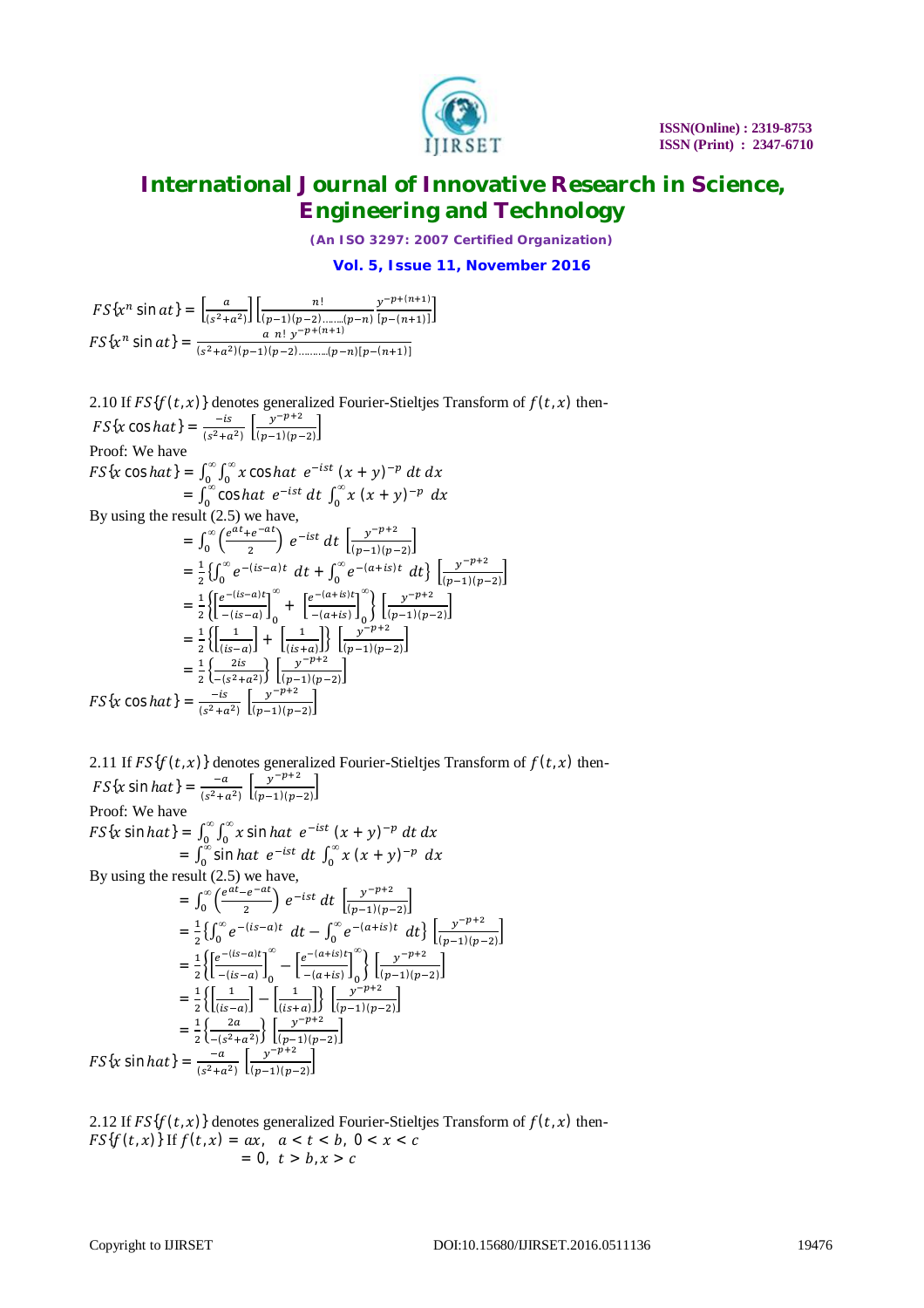

*(An ISO 3297: 2007 Certified Organization)*

**Vol. 5, Issue 11, November 2016**

 $FS\{x^n \sin at\} = \left[\frac{a}{\sqrt{a^2+1}}\right]$  $\frac{a}{(s^2+a^2)}\bigg\{\frac{n!}{(p-1)(p-2)}\bigg\}$  $(p-1)(p-2)$ …….. $(p-n)$  $y^{-p+(n+1)}$  $\frac{y+(-1)}{[p-(n+1)]}$  $FS\{x^n \sin \alpha t\} = \frac{a_n! y^{-p+(n+1)}}{(x^2 + y^2)(n-1)(n-2)}$  $(s^2+a^2)(p-1)(p-2)$ ……….. $(p-n)[p-(n+1)]$ 

2.10 If  $FS{f(t, x)}$  denotes generalized Fourier-Stieltjes Transform of  $f(t, x)$  then- $FS\{x\cos hat\} = \frac{-is}{(s^2 + s^2)}$  $\frac{-is}{(s^2+a^2)}$   $\frac{y^{-p+2}}{(p-1)(p-1)}$  $\frac{y}{(p-1)(p-2)}$ Proof: We have  $FS\{x\cos hat\} = \int_0^\infty \int_0^\infty x\cos hat$  $\bf{0}$ *∞*  $\int_0^\infty \int_0^\infty x \cos h dt \, e^{-ist} \, (x+y)^{-p} \, dt \, dx$  $=\int_0^\infty \cos h \, dt$  $=\int_0^\infty \cos hat \ e^{-ist} dt \int_0^\infty x (x+y)^{-p} dx$ <br>By using the result (2.5) we have,  $=\int_0^\infty \left(\frac{e^{at}+e^{-at}}{2}\right)$  $\int_{0}^{\infty} \left( \frac{e^{at} + e^{-at}}{2} \right)$  $\int_0^{\infty} \left(\frac{e^{at}+e^{-at}}{2}\right) e^{-ist} dt$   $\left[\frac{y^{-p+2}}{(p-1)(p-1)}\right]$  $\frac{y}{(p-1)(p-2)}$  $=\frac{1}{2}$  $\frac{1}{2}\{\int_{0}^{\infty}e^{-(is-a)t}$  $\int_0^\infty e^{-(is-a)t} dt + \int_0^\infty e^{-(a+is)t} dt$  $\int_0^\infty e^{-(a+is)t} dt$   $\left\{\frac{y^{-p+2}}{(p-1)(p-1)}\right\}$  $\frac{y}{(p-1)(p-2)}$  $=\frac{1}{2}$  $rac{1}{2}\left\{\left[\frac{e^{-(is-a)t}}{-(is-a)}\right]$  $\frac{z}{-(is-a)}$ 0  $L - (u + is) 1$ <sub>0</sub> *∞* +  $\left[\frac{e^{-(a+is)t}}{(a+is)}\right]$  $\frac{(-a+is)}{-b}$ *∞*  $\left\{\frac{y^{-p+2}}{(n-1)(n-1)}\right\}$  $\frac{y}{(p-1)(p-2)}$  $=\frac{1}{2}$  $rac{1}{2}\left\{\frac{1}{\left(\frac{1}{15}\right)}\right\}$  $\left[\frac{1}{(is-a)}\right] + \left[\frac{1}{(is+a)}\right]$  $\left\{\frac{1}{(is+a)}\right\}$   $\left\{\frac{y^{-p+2}}{(p-1)(p-1)}\right\}$  $\frac{y}{(p-1)(p-2)}$  $=\frac{1}{2}$  $rac{1}{2}\left\{\frac{2is}{-(s^2+1)}\right\}$  $\frac{2is}{-(s^2+a^2)}\left[\frac{y^{-p+2}}{(p-1)(p-1)}\right]$  $\frac{y}{(p-1)(p-2)}$  $FS\{x\cos hat\} = \frac{-is}{\sqrt{a^2 + 3}}$  $\frac{-is}{(s^2+a^2)}$   $\left[\frac{y^{-p+2}}{(p-1)(p-1)}\right]$  $\frac{y}{(p-1)(p-2)}$ 

2.11 If  $FS{f(t, x)}$  denotes generalized Fourier-Stieltjes Transform of  $f(t, x)$  then- $FS\{x \sin hat\} = \frac{-a}{\sqrt{a^2+1}}$  $\frac{-a}{(s^2+a^2)}$   $\left[\frac{y^{-p+2}}{(p-1)(p-1)}\right]$  $\frac{y}{(p-1)(p-2)}$ Proof: We have  $FS\{x \sin hat\} = \int_0^\infty \int_0^\infty x \sin hat$  $\bf{0}$ *∞*  $\int_0^\infty \int_0^\infty x \sin h a t \ e^{-ist} \ (x+y)^{-p} \ dt \ dx$  $=\int_0^\infty$  sin *hat*  $\int_{0}^{\infty}$ sin *hat*  $e^{-ist} dt \int_{0}^{\infty} x (x + y)^{-p} dx$ By using the result  $(2.5)$  we have,  $=\int_0^\infty \left(\frac{e^{at}-e^{-at}}{2}\right)$  $\int_{0}^{\infty} \left( \frac{e^{at} - e^{-at}}{2} \right)$  $\int_0^{\infty} \left(\frac{e^{at}-e^{-at}}{2}\right) e^{-ist} dt \left[\frac{y^{-p+2}}{(p-1)(p-1)}\right]$  $\frac{y}{(p-1)(p-2)}$  $=\frac{1}{2}$  $\frac{1}{2}\{\int_{0}^{\infty}e^{-(is-a)t}$  $\int_{0}^{\infty} e^{-(is-a)t} dt - \int_{0}^{\infty} e^{-(a+is)t} dt$  $\int_0^\infty e^{-(a+is)t} dt$   $\left\{\frac{y^{-p+2}}{(p-1)(p-1)}\right\}$  $\frac{y}{(p-1)(p-2)}$  $=\frac{1}{2}$  $rac{1}{2}\left\{\left[\frac{e^{-(is-a)t}}{-(is-a)}\right]$  $\frac{(-\epsilon)(s-a)}{-\epsilon(s-a)}\Big|_0$ *∞*  $-\left[\frac{e^{-(a+is)t}}{(a+is)}\right]$  $\left[\frac{(-a+is)}{-a+is}\right]_0$ *∞*  $\left\{\left[\frac{y^{-p+2}}{(a+1)(p)}\right]\right\}$  $\frac{y}{(p-1)(p-2)}$  $=\frac{1}{2}$  $rac{1}{2}$  {  $rac{1}{\left(\frac{1}{is}\right)}$  $\left[\frac{1}{(is-a)}\right] - \left[\frac{1}{(is+a)}\right]$  $\left\{\frac{1}{(is+a)}\right\}$   $\left\{\frac{y^{-p+2}}{(p-1)(p-1)}\right\}$  $\frac{y}{(p-1)(p-2)}$  $=\frac{1}{2}$  $\frac{1}{2} \left\{ \frac{2a}{-(s^2 + )^2} \right\}$  $\frac{2a}{-(s^2+a^2)}\left[\frac{y^{-p+2}}{(p-1)(p-1)}\right]$  $\frac{y}{(p-1)(p-2)}$  $FS\{x \sin hat\} = \frac{-a}{\sqrt{a^2 + b^2}}$  $\frac{-a}{(s^2+a^2)}$   $\left[\frac{y^{-p+2}}{(p-1)(p-1)}\right]$  $\frac{y}{(p-1)(p-2)}$ 

2.12 If  $FS{f(t, x)}$  denotes generalized Fourier-Stieltjes Transform of  $f(t, x)$  then- $FS{f(t, x)}$  If  $f(t, x) = ax$ ,  $a < t < b$ ,  $0 < x < c$  $= 0, t > b, x > c$